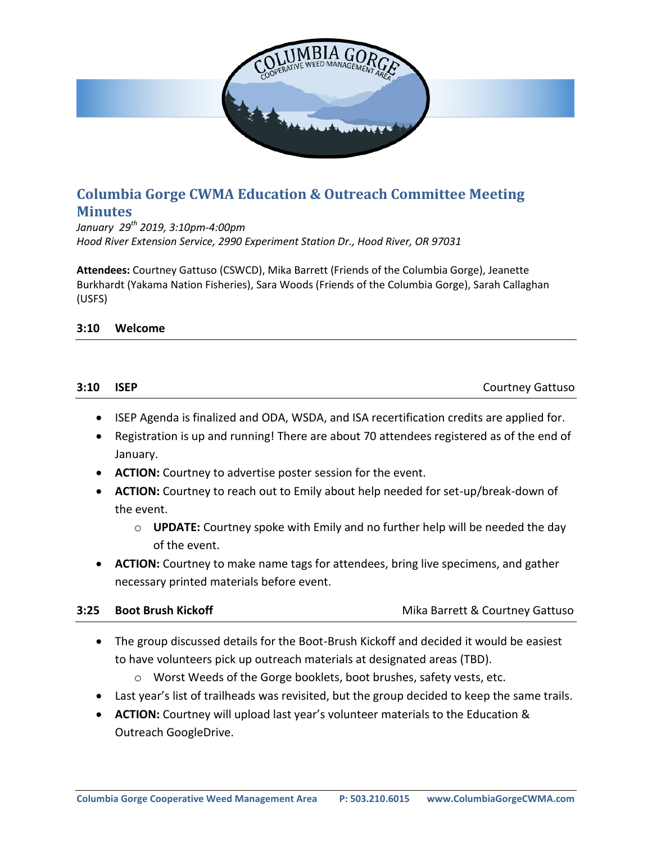

# **Columbia Gorge CWMA Education & Outreach Committee Meeting Minutes**

*January 29th 2019, 3:10pm-4:00pm Hood River Extension Service, 2990 Experiment Station Dr., Hood River, OR 97031*

**Attendees:** Courtney Gattuso (CSWCD), Mika Barrett (Friends of the Columbia Gorge), Jeanette Burkhardt (Yakama Nation Fisheries), Sara Woods (Friends of the Columbia Gorge), Sarah Callaghan (USFS)

### **3:10 Welcome**

| 3:10 ISEP | <b>Courtney Gattuso</b> |
|-----------|-------------------------|
|           |                         |

- ISEP Agenda is finalized and ODA, WSDA, and ISA recertification credits are applied for.
- Registration is up and running! There are about 70 attendees registered as of the end of January.
- **ACTION:** Courtney to advertise poster session for the event.
- **ACTION:** Courtney to reach out to Emily about help needed for set-up/break-down of the event.
	- o **UPDATE:** Courtney spoke with Emily and no further help will be needed the day of the event.
- **ACTION:** Courtney to make name tags for attendees, bring live specimens, and gather necessary printed materials before event.

**3:25 Boot Brush Kickoff** Mika Barrett & Courtney Gattuso

- The group discussed details for the Boot-Brush Kickoff and decided it would be easiest to have volunteers pick up outreach materials at designated areas (TBD).
	- o Worst Weeds of the Gorge booklets, boot brushes, safety vests, etc.
- Last year's list of trailheads was revisited, but the group decided to keep the same trails.
- **ACTION:** Courtney will upload last year's volunteer materials to the Education & Outreach GoogleDrive.